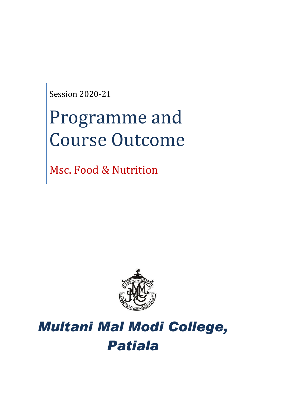Session 2020-21

# Programme and Course Outcome

Msc. Food & Nutrition



## *Multani Mal Modi College, Patiala*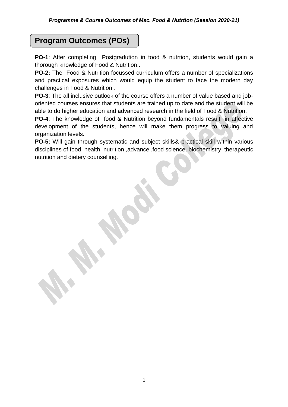## **Program Outcomes (POs)**

**PO-1**: After completing Postgradution in food & nutrtion, students would gain a thorough knowledge of Food & Nutrition..

**PO-2:** The Food & Nutrition focussed curriculum offers a number of specializations and practical exposures which would equip the student to face the modern day challenges in Food & Nutrition .

**PO-3**: The all inclusive outlook of the course offers a number of value based and joboriented courses ensures that students are trained up to date and the student will be able to do higher education and advanced research in the field of Food & Nutrition.

**PO-4**: The knowledge of food & Nutrition beyond fundamentals result in affective development of the students, hence will make them progress to valuing and organization levels.

**PO-5:** Will gain through systematic and subject skills& practical skill within various disciplines of food, health, nutrition ,advance ,food science, biochemistry, therapeutic nutrition and dietery counselling.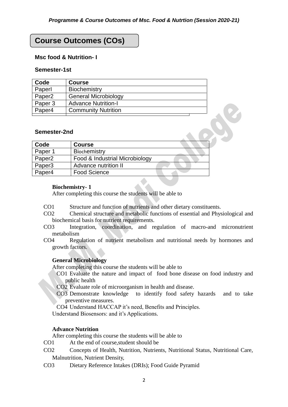## **Course Outcomes (COs)**

#### **Msc food & Nutrition- I**

#### **Semester-1st**

| Code               | <b>Course</b>               |
|--------------------|-----------------------------|
| Paperl             | Biochemistry                |
| Paper <sub>2</sub> | <b>General Microbiology</b> |
| Paper 3            | <b>Advance Nutrition-I</b>  |
| Paper4             | <b>Community Nutrition</b>  |

#### **Semester-2nd**

| Code               | <b>Course</b>                  |  |
|--------------------|--------------------------------|--|
| Paper 1            | <b>Biochemistry</b>            |  |
| Paper <sub>2</sub> | Food & Industrial Microbiology |  |
| Paper <sub>3</sub> | Advance nutrition II           |  |
| Paper4             | <b>Food Science</b>            |  |

#### **Biochemistry- 1**

After completing this course the students will be able to

- CO1 Structure and function of nutrients and other dietary constituents.
- CO2 Chemical structure and metabolic functions of essential and Physiological and biochemical basis for nutrient requirements.
- CO3 Integration, coordination, and regulation of macro-and micronutrient metabolism
- CO4 Regulation of nutrient metabolism and nutritional needs by hormones and growth factors.

#### **General Microbiology**

After completing this course the students will be able to

CO1 Evaluate the nature and impact of food bone disease on food industry and public health

CO2 Evaluate role of microorganism in health and disease.

CO3 Demonstrate knowledge to identify food safety hazards and to take preventive measures.

CO4 Understand HACCAP it's need, Benefits and Principles.

Understand Biosensors: and it's Applications.

#### **Advance Nutrition**

- CO1 At the end of course,student should be
- CO2 Concepts of Health, Nutrition, Nutrients, Nutritional Status, Nutritional Care, Malnutrition, Nutrient Density,
- CO3 Dietary Reference Intakes (DRIs); Food Guide Pyramid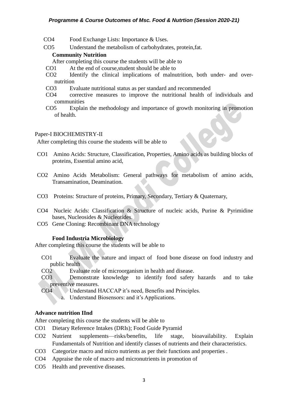#### *Programme & Course Outcomes of Msc. Food & Nutrtion (Session 2020-21)*

- CO4 Food Exchange Lists: Importance & Uses.
- CO5 Understand the metabolism of carbohydrates, protein,fat.

#### **Community Nutrition**

- After completing this course the students will be able to
- CO1 At the end of course,student should be able to
- CO2 Identify the clinical implications of malnutrition, both under- and overnutrition
- CO3 Evaluate nutritional status as per standard and recommended
- CO4 corrective measures to improve the nutritional health of individuals and communities
- CO5 Explain the methodology and importance of growth monitoring in promotion of health.

#### Paper-I BIOCHEMISTRY-II

After completing this course the students will be able to

- CO1 Amino Acids: Structure, Classification, Properties, Amino acids as building blocks of proteins, Essential amino acid,
- CO2 Amino Acids Metabolism: General pathways for metabolism of amino acids, Transamination, Deamination.
- CO3 Proteins: Structure of proteins, Primary, Secondary, Tertiary & Quaternary,
- CO4 Nucleic Acids: Classification & Structure of nucleic acids, Purine & Pyrimidine bases, Nucleosides & Nucleotides.
- CO5 Gene Cloning: Recombinant DNA technology

#### **Food Industria Microbiology**

After completing this course the students will be able to

- CO1 Evaluate the nature and impact of food bone disease on food industry and public health
- CO2 Evaluate role of microorganism in health and disease.
- CO3 Demonstrate knowledge to identify food safety hazards and to take preventive measures.
- CO4 Understand HACCAP it's need, Benefits and Principles.
	- a. Understand Biosensors: and it's Applications.

#### **Advance nutrition IInd**

- CO1 Dietary Reference Intakes (DRIs); Food Guide Pyramid
- CO2 Nutrient supplements—risks/benefits, life stage, bioavailability. Explain Fundamentals of Nutrition and identify classes of nutrients and their characteristics.
- CO3 Categorize macro and micro nutrients as per their functions and properties .
- CO4 Appraise the role of macro and micronutrients in promotion of
- CO5 Health and preventive diseases.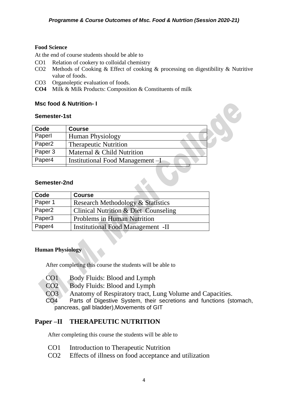#### **Food Science**

At the end of course students should be able to

- CO1 Relation of cookery to colloidal chemistry
- CO2 Methods of Cooking & Effect of cooking & processing on digestibility & Nutritive value of foods.
- CO3 Organoleptic evaluation of foods.
- **CO4** Milk & Milk Products: Composition & Constituents of milk

#### **Msc food & Nutrition- I**

#### **Semester-1st**

| Code               | <b>Course</b>                    |
|--------------------|----------------------------------|
| Paperl             | <b>Human Physiology</b>          |
| Paper <sub>2</sub> | <b>Therapeutic Nutrition</b>     |
| Paper 3            | Maternal & Child Nutrition       |
| Paper4             | Institutional Food Management -I |
| Semester-2nd       |                                  |

#### **Semester-2nd**

| Code               | <b>Course</b>                                |
|--------------------|----------------------------------------------|
| Paper 1            | <b>Research Methodology &amp; Statistics</b> |
| Paper <sub>2</sub> | Clinical Nutrition & Diet Counseling         |
| Paper <sub>3</sub> | <b>Problems in Human Nutrition</b>           |
| Paper4             | <b>Institutional Food Management -II</b>     |

#### **Human Physiology**

After completing this course the students will be able to

- CO1 Body Fluids: Blood and Lymph
- CO2 Body Fluids: Blood and Lymph
- CO3 Anatomy of Respiratory tract, Lung Volume and Capacities.

CO4 Parts of Digestive System, their secretions and functions (stomach, pancreas, gall bladder),Movements of GIT

#### **Paper –II THERAPEUTIC NUTRITION**

- CO1 Introduction to Therapeutic Nutrition
- CO2 Effects of illness on food acceptance and utilization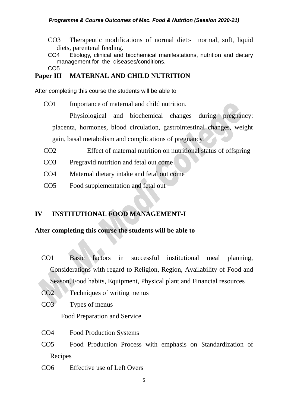CO3 Therapeutic modifications of normal diet:- normal, soft, liquid diets, parenteral feeding.

CO4 Etiology, clinical and biochemical manifestations, nutrition and dietary management for the diseases**/**conditions.

CO5

## **Paper III MATERNAL AND CHILD NUTRITION**

After completing this course the students will be able to

CO1 Importance of maternal and child nutrition.

Physiological and biochemical changes during pregnancy: placenta, hormones, blood circulation, gastrointestinal changes, weight gain, basal metabolism and complications of pregnancy.

- CO2 Effect of maternal nutrition on nutritional status of offspring
- CO3 Pregravid nutrition and fetal out come
- CO4 Maternal dietary intake and fetal out come
- CO5 Food supplementation and fetal out

## **IV INSTITUTIONAL FOOD MANAGEMENT-I**

### **After completing this course the students will be able to**

- CO1 Basic factors in successful institutional meal planning, Considerations with regard to Religion, Region, Availability of Food and Season, Food habits, Equipment, Physical plant and Financial resources
- CO2 Techniques of writing menus
- CO3 Types of menus

Food Preparation and Service

- CO4 Food Production Systems
- CO5 Food Production Process with emphasis on Standardization of Recipes
- CO6 Effective use of Left Overs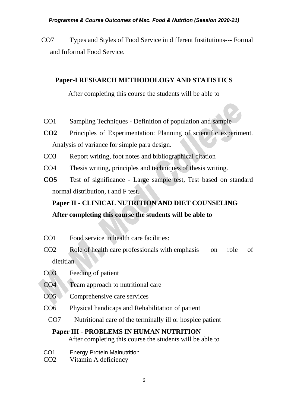CO7 Types and Styles of Food Service in different Institutions--- Formal and Informal Food Service.

## **Paper-I RESEARCH METHODOLOGY AND STATISTICS**

After completing this course the students will be able to

- CO1 Sampling Techniques Definition of population and sample
- **CO2** Principles of Experimentation: Planning of scientific experiment. Analysis of variance for simple para design.
- CO3 Report writing, foot notes and bibliographical citation
- CO4 Thesis writing, principles and techniques of thesis writing.
- **CO5** Test of significance Large sample test, Test based on standard normal distribution, t and F test.

## **Paper II - CLINICAL NUTRITION AND DIET COUNSELING After completing this course the students will be able to**

- CO1 Food service in health care facilities:
- CO2 Role of health care professionals with emphasis on role of dietitian
- CO3 Feeding of patient
- CO4 Team approach to nutritional care
- CO5 Comprehensive care services
- CO6 Physical handicaps and Rehabilitation of patient
- CO7 Nutritional care of the terminally ill or hospice patient

## **Paper III - PROBLEMS IN HUMAN NUTRITION**

- CO1 Energy Protein Malnutrition
- CO2 Vitamin A deficiency